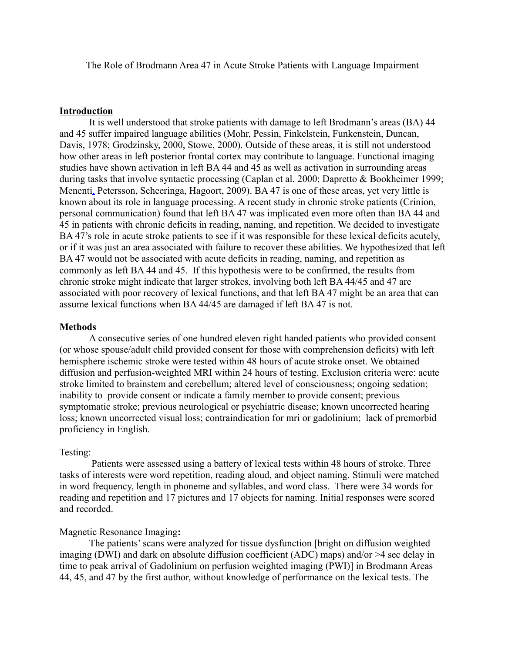The Role of Brodmann Area 47 in Acute Stroke Patients with Language Impairment

### **Introduction**

It is well understood that stroke patients with damage to left Brodmann's areas (BA) 44 and 45 suffer impaired language abilities (Mohr, Pessin, Finkelstein, Funkenstein, Duncan, Davis, 1978; Grodzinsky, 2000, Stowe, 2000). Outside of these areas, it is still not understood how other areas in left posterior frontal cortex may contribute to language. Functional imaging studies have shown activation in left BA 44 and 45 as well as activation in surrounding areas during tasks that involve syntactic processing (Caplan et al. 2000; Dapretto & Bookheimer 1999; Menent[i,](http://www.ncbi.nlm.nih.gov/pubmed?term=%22Menenti%20L%22%5BAuthor%5D&itool=EntrezSystem2.PEntrez.Pubmed.Pubmed_ResultsPanel.Pubmed_RVAbstract) Petersson, Scheeringa, Hagoort, 2009). BA 47 is one of these areas, yet very little is known about its role in language processing. A recent study in chronic stroke patients (Crinion, personal communication) found that left BA 47 was implicated even more often than BA 44 and 45 in patients with chronic deficits in reading, naming, and repetition. We decided to investigate BA 47's role in acute stroke patients to see if it was responsible for these lexical deficits acutely, or if it was just an area associated with failure to recover these abilities. We hypothesized that left BA 47 would not be associated with acute deficits in reading, naming, and repetition as commonly as left BA 44 and 45. If this hypothesis were to be confirmed, the results from chronic stroke might indicate that larger strokes, involving both left BA 44/45 and 47 are associated with poor recovery of lexical functions, and that left BA 47 might be an area that can assume lexical functions when BA 44/45 are damaged if left BA 47 is not.

#### **Methods**

A consecutive series of one hundred eleven right handed patients who provided consent (or whose spouse/adult child provided consent for those with comprehension deficits) with left hemisphere ischemic stroke were tested within 48 hours of acute stroke onset. We obtained diffusion and perfusion-weighted MRI within 24 hours of testing. Exclusion criteria were: acute stroke limited to brainstem and cerebellum; altered level of consciousness; ongoing sedation; inability to provide consent or indicate a family member to provide consent; previous symptomatic stroke; previous neurological or psychiatric disease; known uncorrected hearing loss; known uncorrected visual loss; contraindication for mri or gadolinium; lack of premorbid proficiency in English.

#### Testing:

Patients were assessed using a battery of lexical tests within 48 hours of stroke. Three tasks of interests were word repetition, reading aloud, and object naming. Stimuli were matched in word frequency, length in phoneme and syllables, and word class. There were 34 words for reading and repetition and 17 pictures and 17 objects for naming. Initial responses were scored and recorded.

#### Magnetic Resonance Imaging**:**

The patients' scans were analyzed for tissue dysfunction [bright on diffusion weighted imaging (DWI) and dark on absolute diffusion coefficient (ADC) maps) and/or >4 sec delay in time to peak arrival of Gadolinium on perfusion weighted imaging (PWI)] in Brodmann Areas 44, 45, and 47 by the first author, without knowledge of performance on the lexical tests. The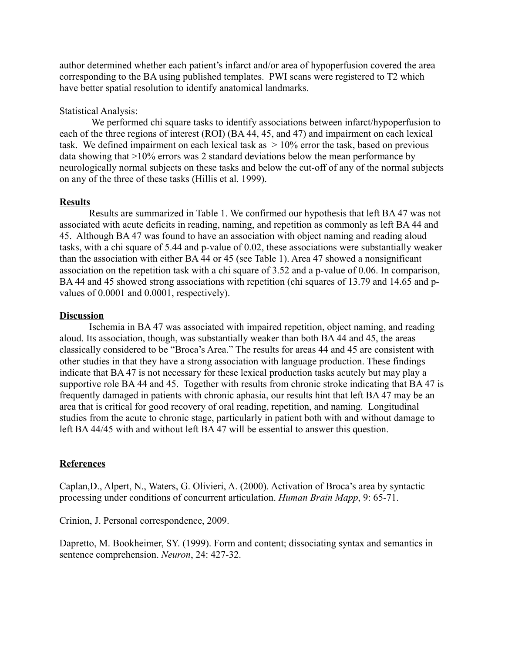author determined whether each patient's infarct and/or area of hypoperfusion covered the area corresponding to the BA using published templates. PWI scans were registered to T2 which have better spatial resolution to identify anatomical landmarks.

### Statistical Analysis:

 We performed chi square tasks to identify associations between infarct/hypoperfusion to each of the three regions of interest (ROI) (BA 44, 45, and 47) and impairment on each lexical task. We defined impairment on each lexical task as  $> 10\%$  error the task, based on previous data showing that >10% errors was 2 standard deviations below the mean performance by neurologically normal subjects on these tasks and below the cut-off of any of the normal subjects on any of the three of these tasks (Hillis et al. 1999).

## **Results**

Results are summarized in Table 1. We confirmed our hypothesis that left BA 47 was not associated with acute deficits in reading, naming, and repetition as commonly as left BA 44 and 45. Although BA 47 was found to have an association with object naming and reading aloud tasks, with a chi square of 5.44 and p-value of 0.02, these associations were substantially weaker than the association with either BA 44 or 45 (see Table 1). Area 47 showed a nonsignificant association on the repetition task with a chi square of 3.52 and a p-value of 0.06. In comparison, BA 44 and 45 showed strong associations with repetition (chi squares of 13.79 and 14.65 and pvalues of 0.0001 and 0.0001, respectively).

## **Discussion**

Ischemia in BA 47 was associated with impaired repetition, object naming, and reading aloud. Its association, though, was substantially weaker than both BA 44 and 45, the areas classically considered to be "Broca's Area." The results for areas 44 and 45 are consistent with other studies in that they have a strong association with language production. These findings indicate that BA 47 is not necessary for these lexical production tasks acutely but may play a supportive role BA 44 and 45. Together with results from chronic stroke indicating that BA 47 is frequently damaged in patients with chronic aphasia, our results hint that left BA 47 may be an area that is critical for good recovery of oral reading, repetition, and naming. Longitudinal studies from the acute to chronic stage, particularly in patient both with and without damage to left BA 44/45 with and without left BA 47 will be essential to answer this question.

# **References**

Caplan,D., Alpert, N., Waters, G. Olivieri, A. (2000). Activation of Broca's area by syntactic processing under conditions of concurrent articulation. *Human Brain Mapp*, 9: 65-71.

Crinion, J. Personal correspondence, 2009.

Dapretto, M. Bookheimer, SY. (1999). Form and content; dissociating syntax and semantics in sentence comprehension. *Neuron*, 24: 427-32.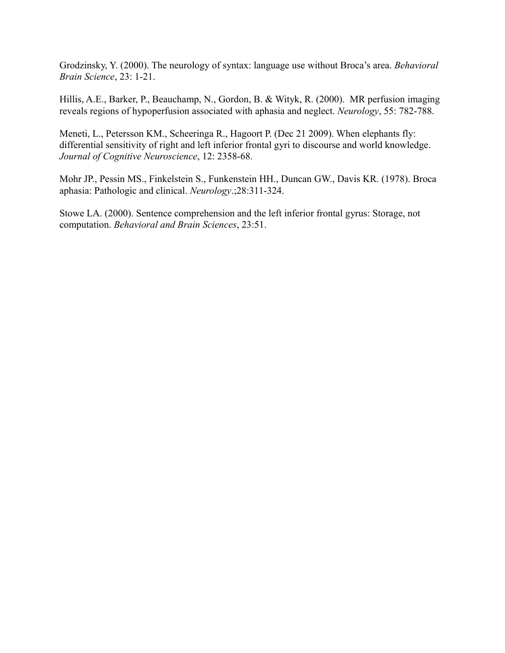Grodzinsky, Y. (2000). The neurology of syntax: language use without Broca's area. *Behavioral Brain Science*, 23: 1-21.

Hillis, A.E., Barker, P., Beauchamp, N., Gordon, B. & Wityk, R. (2000). MR perfusion imaging reveals regions of hypoperfusion associated with aphasia and neglect. *Neurology*, 55: 782-788.

Meneti, L., Petersson KM., Scheeringa R., Hagoort P. (Dec 21 2009). When elephants fly: differential sensitivity of right and left inferior frontal gyri to discourse and world knowledge. *Journal of Cognitive Neuroscience*, 12: 2358-68.

Mohr JP., Pessin MS., Finkelstein S., Funkenstein HH., Duncan GW., Davis KR. (1978). Broca aphasia: Pathologic and clinical. *Neurology*.;28:311-324.

Stowe LA. (2000). Sentence comprehension and the left inferior frontal gyrus: Storage, not computation. *Behavioral and Brain Sciences*, 23:51.